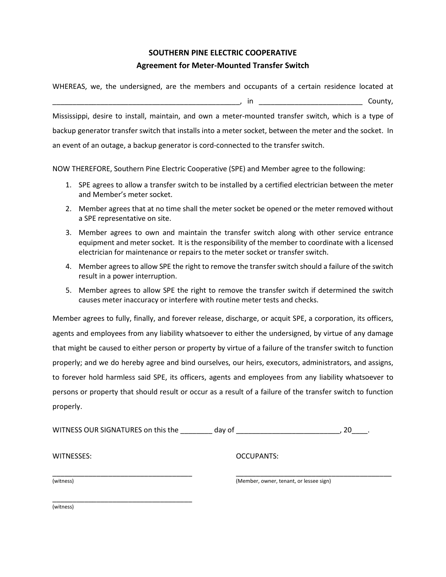## **SOUTHERN PINE ELECTRIC COOPERATIVE Agreement for Meter-Mounted Transfer Switch**

WHEREAS, we, the undersigned, are the members and occupants of a certain residence located at

 $\blacksquare$ , in  $\blacksquare$ 

Mississippi, desire to install, maintain, and own a meter-mounted transfer switch, which is a type of backup generator transfer switch that installs into a meter socket, between the meter and the socket. In an event of an outage, a backup generator is cord-connected to the transfer switch.

NOW THEREFORE, Southern Pine Electric Cooperative (SPE) and Member agree to the following:

- 1. SPE agrees to allow a transfer switch to be installed by a certified electrician between the meter and Member's meter socket.
- 2. Member agrees that at no time shall the meter socket be opened or the meter removed without a SPE representative on site.
- 3. Member agrees to own and maintain the transfer switch along with other service entrance equipment and meter socket. It is the responsibility of the member to coordinate with a licensed electrician for maintenance or repairs to the meter socket or transfer switch.
- 4. Member agrees to allow SPE the right to remove the transfer switch should a failure of the switch result in a power interruption.
- 5. Member agrees to allow SPE the right to remove the transfer switch if determined the switch causes meter inaccuracy or interfere with routine meter tests and checks.

Member agrees to fully, finally, and forever release, discharge, or acquit SPE, a corporation, its officers, agents and employees from any liability whatsoever to either the undersigned, by virtue of any damage that might be caused to either person or property by virtue of a failure of the transfer switch to function properly; and we do hereby agree and bind ourselves, our heirs, executors, administrators, and assigns, to forever hold harmless said SPE, its officers, agents and employees from any liability whatsoever to persons or property that should result or occur as a result of a failure of the transfer switch to function properly.

| WITNESS OUR SIGNATURES on this the | day of                                  | 20 |
|------------------------------------|-----------------------------------------|----|
| WITNESSES:                         | <b>OCCUPANTS:</b>                       |    |
| (witness)                          | (Member, owner, tenant, or lessee sign) |    |
| (witness)                          |                                         |    |